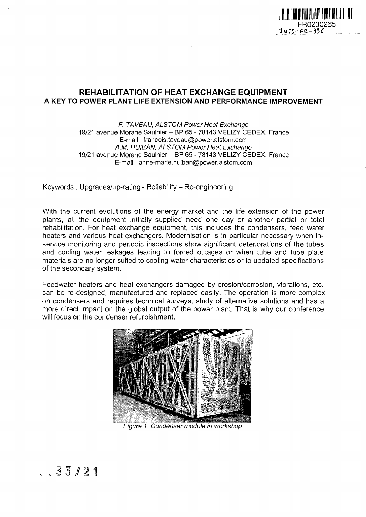

### **REHABILITATION OF HEAT EXCHANGE EQUIPMENT A KEY TO POWER PLANT LIFE EXTENSION AND PERFORMANCE IMPROVEMENT**

#### F. TAVEAU, ALSTOM Power Heat Exchange 19/21 avenue Morane Saulnier- BP 65 - 78143 VELIZY CEDEX, France E-mail: francois.taveau@power.alstom.ccm AM. HUIBAN, ALSTOM Power Heat Exchange 19/21 avenue Morane Saulnier- BP 65 - 78143 VELIZY CEDEX, France E-mail: anne-marie.huiban@power.alstom.com

Keywords : Upgrades/up-rating - Reliability- Re-engineering

With the current evolutions of the energy market and the life extension of the power plants, all the equipment initially supplied need one day or another partial or total rehabilitation. For heat exchange equipment, this includes the condensers, feed water heaters and various heat exchangers. Modernisation is in particular necessary when inservice monitoring and periodic inspections show significant deteriorations of the tubes and cooling water leakages leading to forced outages or when tube and tube plate materials are no longer suited to cooling water characteristics or to updated specifications of the secondary system.

Feedwater heaters and heat exchangers damaged by erosion/corrosion, vibrations, etc. can be re-designed, manufactured and replaced easily. The operation is more complex on condensers and requires technical surveys, study of alternative solutions and has a more direct impact on the global output of the power plant. That is why our conference will focus on the condenser refurbishment.



Figure 1. Condenser module in workshop

*121*

 $\mathbf{1}$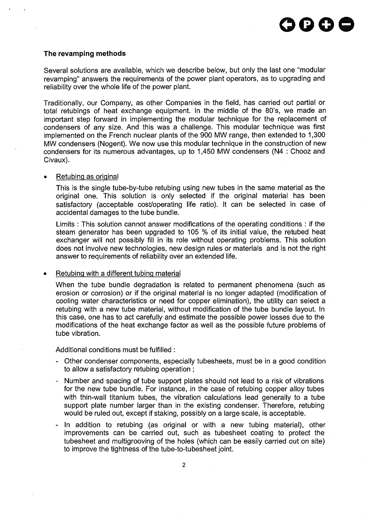#### **The revamping methods**

Several solutions are available, which we describe below, but only the last one "modular revamping" answers the requirements of the power plant operators, as to upgrading and reliability over the whole life of the power plant.

Traditionally, our Company, as other Companies in the field, has carried out partial or total retubings of heat exchange equipment. In the middle of the 80's, we made an important step forward in implementing the modular technique for the replacement of condensers of any size. And this was a challenge. This modular technique was first implemented on the French nuclear plants of the 900 MW range, then extended to 1,300 MW condensers (Nogent). We now use this modular technique in the construction of new condensers for its numerous advantages, up to 1,450 MW condensers (N4 : Chooz and Civaux).

#### • Retubing as original

This is the single tube-by-tube retubing using new tubes in the same material as the original one. This solution is only selected if the original material has been satisfactory (acceptable cost/operating life ratio). It can be selected in case of accidental damages to the tube bundle.

Limits : This solution cannot answer modifications of the operating conditions : if the steam generator has been upgraded to 105 % of its initial value, the retubed heat exchanger will not possibly fill in its role without operating problems. This solution does not involve new technologies, new design rules or materials and is not the right answer to requirements of reliability over an extended life.

#### • Retubing with a different tubing material

When the tube bundle degradation is related to permanent phenomena (such as erosion or corrosion) or if the original material is no longer adapted (modification of cooling water characteristics or need for copper elimination), the utility can select a retubing with a new tube material, without modification of the tube bundle layout. In this case, one has to act carefully and estimate the possible power losses due to the modifications of the heat exchange factor as well as the possible future problems of tube vibration.

Additional conditions must be fulfilled :

- Other condenser components, especially tubesheets, must be in a good condition to allow a satisfactory retubing operation ;
- Number and spacing of tube support plates should not lead to a risk of vibrations for the new tube bundle. For instance, in the case of retubing copper alloy tubes with thin-wall titanium tubes, the vibration calculations lead generally to a tube support plate number larger than in the existing condenser. Therefore, retubing would be ruled out, except if staking, possibly on a large scale, is acceptable.
- In addition to retubing (as original or with a new tubing material), other improvements can be carried out, such as tubesheet coating to protect the tubesheet and multigrooving of the holes (which can be easily carried out on site) to improve the tightness of the tube-to-tubesheet joint.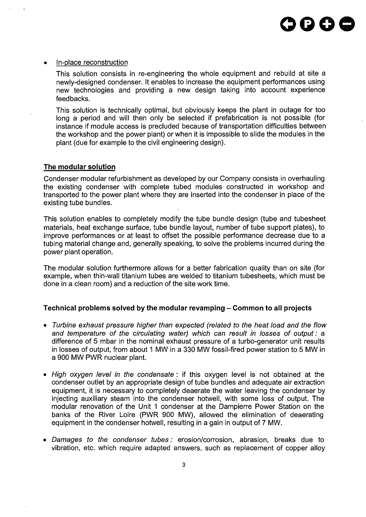#### In-place reconstruction

This solution consists in re-engineering the whole equipment and rebuild at site a newly-designed condenser. It enables to increase the equipment performances using new technologies and providing a new design taking into account experience feedbacks.

This solution is technically optimal, but obviously keeps the plant in outage for too long a period and will then only be selected if prefabrication is not possible (for instance if module access is precluded because of transportation difficulties between the workshop and the power plant) or when it is impossible to slide the modules in the plant (due for example to the civil engineering design).

#### **The modular solution**

Condenser modular refurbishment as developed by our Company consists in overhauling the existing condenser with complete tubed modules constructed in workshop and transported to the power plant where they are inserted into the condenser in place of the existing tube bundles.

This solution enables to completely modify the tube bundle design (tube and tubesheet materials, heat exchange surface, tube bundle layout, number of tube support plates), to improve performances or at least to offset the possible performance decrease due to a tubing material change and, generally speaking, to solve the problems incurred during the power plant operation.

The modular solution furthermore allows for a better fabrication quality than on site (for example, when thin-wall titanium tubes are welded to titanium tubesheets, which must be done in a clean room) and a reduction of the site work time.

#### **Technical problems solved by the modular revamping - Common to all projects**

- Turbine exhaust pressure higher than expected (related to the heat load and the flow and temperature of the circulating water) which can result in losses of output: a difference of 5 mbar in the nominal exhaust pressure of a turbo-generator unit results in losses of output, from about 1 MW in a 330 MW fossil-fired power station to 5 MW in a 900 MW PWR nuclear plant.
- High oxygen level in the condensate : if this oxygen level is not obtained at the condenser outlet by an appropriate design of tube bundles and adequate air extraction equipment, it is necessary to completely deaerate the water leaving the condenser by injecting auxiliary steam into the condenser hotwell, with some loss of output. The modular renovation of the Unit 1 condenser at the Dampierre Power Station on the banks of the River Loire (PWR 900 MW), allowed the elimination of deaerating equipment in the condenser hotwell, resulting in a gain in output of 7 MW.
- Damages to the condenser tubes: erosion/corrosion, abrasion, breaks due to vibration, etc. which require adapted answers, such as replacement of copper alloy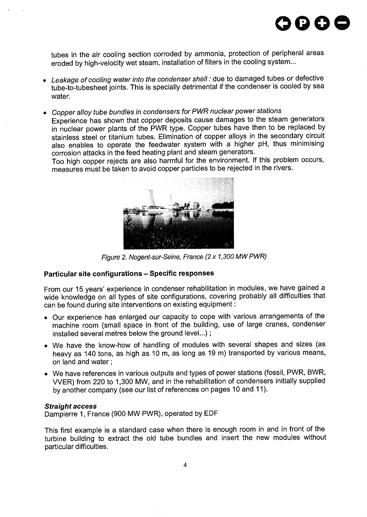

tubes in the air cooling section corroded by ammonia, protection of peripheral areas eroded by high-velocity wet steam, installation of filters in the cooling system...

- Leakage of cooling water into the condenser shell: due to damaged tubes or defective  $\bullet$ tube-to-tubesheet joints. This is specially detrimental if the condenser is cooled by sea water.
- Copper alloy tube bundles in condensers for PWR nuclear power stations Experience has shown that copper deposits cause damages to the steam generators in nuclear power plants of the PWR type. Copper tubes have then to be replaced by stainless steel or titanium tubes. Elimination of copper alloys in the secondary circuit also enables to operate the feedwater system with a higher pH, thus minimising corrosion attacks in the feed heating plant and steam generators.

Too high copper rejects are also harmful for the environment. If this problem occurs, measures must be taken to avoid copper particles to be rejected in the rivers.



Figure 2. Nogent-sur-Seine, France (2x1,300 MWPWR)

#### **Particular site configurations - Specific responses**

From our 15 years' experience in condenser rehabilitation in modules, we have gained a wide knowledge on all types of site configurations, covering probably all difficulties that can be found during site interventions on existing equipment:

- Our experience has enlarged our capacity to cope with various arrangements of the machine room (small space in front of the building, use of large cranes, condenser installed several metres below the ground level...);
- We have the know-how of handling of modules with several shapes and sizes (as heavy as 140 tons, as high as 10 m, as long as 19 m) transported by various means, on land and water;
- We have references in various outputs and types of power stations (fossil, PWR, BWR, WER) from 220 to 1,300 MW, and in the rehabilitation of condensers initially supplied by another company (see our list of references on pages 10 and 11).

#### **Straight access**

Dampierre 1, France (900 MW PWR), operated by EDF

This first example is a standard case when there is enough room in and in front of the turbine building to extract the old tube bundles and insert the new modules without particular difficulties.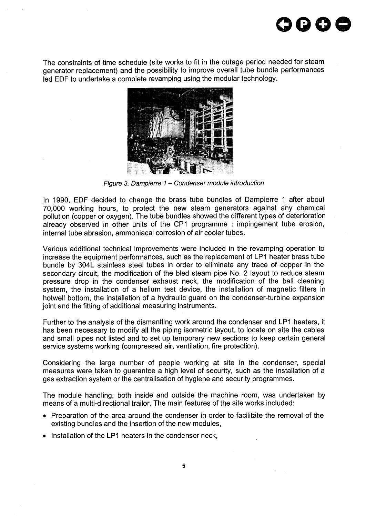

The constraints of time schedule (site works to fit in the outage period needed for steam generator replacement) and the possibility to improve overall tube bundle performances led EDF to undertake a complete revamping using the modular technology.



Figure 3. Dampierre 1 – Condenser module introduction

In 1990, EDF decided to change the brass tube bundles of Dampierre 1 after about 70,000 working hours, to protect the new steam generators against any chemical pollution (copper or oxygen). The tube bundles showed the different types of deterioration already observed in other units of the CP1 programme : impingement tube erosion, internal tube abrasion, ammoniacal corrosion of air cooler tubes.

Various additional technical improvements were included in the revamping operation to increase the equipment performances, such as the replacement of LP1 heater brass tube bundle by 304L stainless steel tubes in order to eliminate any trace of copper in the secondary circuit, the modification of the bled steam pipe No. 2 layout to reduce steam pressure drop in the condenser exhaust neck, the modification of the ball cleaning system, the installation of a helium test device, the installation of magnetic filters in hotwell bottom, the installation of a hydraulic guard on the condenser-turbine expansion joint and the fitting of additional measuring instruments.

Further to the analysis of the dismantling work around the condenser and LP1 heaters, it has been necessary to modify all the piping isometric layout, to locate on site the cables and small pipes not listed and to set up temporary new sections to keep certain general service systems working (compressed air, ventilation, fire protection).

Considering the large number of people working at site in the condenser, special measures were taken to guarantee a high level of security, such as the installation of a gas extraction system or the centralisation of hygiene and security programmes.

The module handling, both inside and outside the machine room, was undertaken by means of a multi-directional trailor. The main features of the site works included:

- Preparation of the area around the condenser in order to facilitate the removal of the existing bundles and the insertion of the new modules,
- Installation of the LP1 heaters in the condenser neck,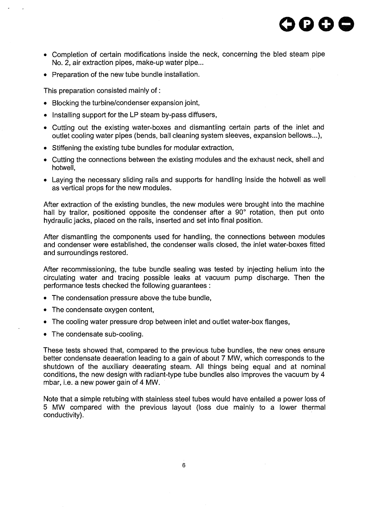

- Completion of certain modifications inside the neck, concerning the bled steam pipe No. 2, air extraction pipes, make-up water pipe...
- Preparation of the new tube bundle installation.

This preparation consisted mainly of:

- Blocking the turbine/condenser expansion joint,
- Installing support for the LP steam by-pass diffusers,
- Cutting out the existing water-boxes and dismantling certain parts of the inlet and outlet cooling water pipes (bends, ball cleaning system sleeves, expansion bellows...),
- Stiffening the existing tube bundles for modular extraction,
- Cutting the connections between the existing modules and the exhaust neck, shell and hotwell,
- Laying the necessary sliding rails and supports for handling inside the hotwell as well as vertical props for the new modules.

After extraction of the existing bundles, the new modules were brought into the machine hall by trailor, positioned opposite the condenser after a 90° rotation, then put onto hydraulic jacks, placed on the rails, inserted and set into final position.

After dismantling the components used for handling, the connections between modules and condenser were established, the condenser walls closed, the inlet water-boxes fitted and surroundings restored.

After recommissioning, the tube bundle sealing was tested by injecting helium into the circulating water and tracing possible leaks at vacuum pump discharge. Then the performance tests checked the following guarantees :

- The condensation pressure above the tube bundle,
- The condensate oxygen content,
- The cooling water pressure drop between inlet and outlet water-box flanges,
- The condensate sub-cooling.

These tests showed that, compared to the previous tube bundles, the new ones ensure better condensate deaeration leading to a gain of about 7 MW, which corresponds to the shutdown of the auxiliary deaerating steam. All things being equal and at nominal conditions, the new design with radiant-type tube bundles also improves the vacuum by 4 mbar, i.e. a new power gain of 4 MW.

Note that a simple retubing with stainless steel tubes would have entailed a power loss of 5 MW compared with the previous layout (loss due mainly to a lower thermal conductivity).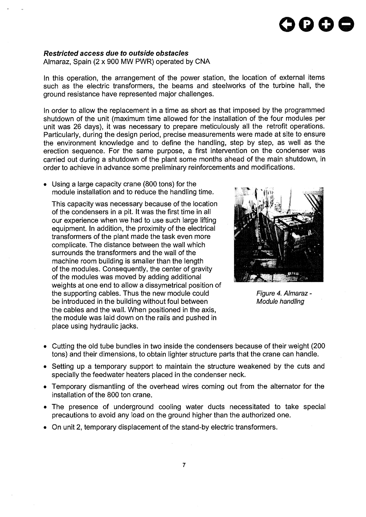# **oooo**

#### **Restricted access due to outside obstacles**

Almaraz, Spain (2 x 900 MW PWR) operated by CNA

In this operation, the arrangement of the power station, the location of external items such as the electric transformers, the beams and steelworks of the turbine hall, the ground resistance have represented major challenges.

In order to allow the replacement in a time as short as that imposed by the programmed shutdown of the unit (maximum time allowed for the installation of the four modules per unit was 26 days), it was necessary to prepare meticulously all the retrofit operations. Particularly, during the design period, precise measurements were made at site to ensure the environment knowledge and to define the handling, step by step, as well as the erection sequence. For the same purpose, a first intervention on the condenser was carried out during a shutdown of the plant some months ahead of the main shutdown, in order to achieve in advance some preliminary reinforcements and modifications.

• Using a large capacity crane (800 tons) for the module installation and to reduce the handling time.

This capacity was necessary because of the location of the condensers in a pit. It was the first time in all our experience when we had to use such large lifting equipment. In addition, the proximity of the electrical transformers of the plant made the task even more complicate. The distance between the wall which surrounds the transformers and the wall of the machine room building is smaller than the length of the modules. Consequently, the center of gravity of the modules was moved by adding additional weights at one end to allow a dissymetrical position of the supporting cables. Thus the new module could be introduced in the building without foul between the cables and the wall. When positioned in the axis, the module was laid down on the rails and pushed in place using hydraulic jacks.



Figure 4. Almaraz - Module handling

- Cutting the old tube bundles in two inside the condensers because of their weight (200 tons) and their dimensions, to obtain lighter structure parts that the crane can handle.
- Setting up a temporary support to maintain the structure weakened by the cuts and specially the feedwater heaters placed in the condenser neck.
- Temporary dismantling of the overhead wires coming out from the alternator for the installation of the 800 ton crane.
- The presence of underground cooling water ducts necessitated to take special precautions to avoid any load on the ground higher than the authorized one.
- On unit 2, temporary displacement of the stand-by electric transformers.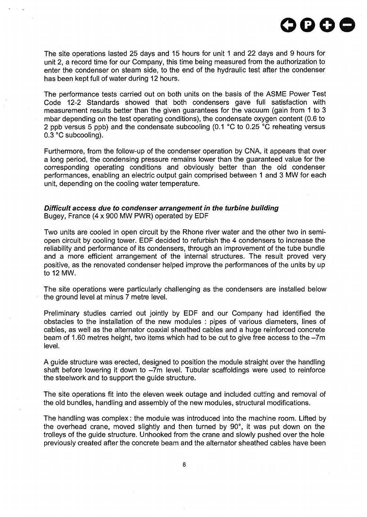

The site operations lasted 25 days and 15 hours for unit 1 and 22 days and 9 hours for unit 2, a record time for our Company, this time being measured from the authorization to enter the condenser on steam side, to the end of the hydraulic test after the condenser has been kept full of water during 12 hours.

The performance tests carried out on both units on the basis of the ASME Power Test Code 12-2 Standards showed that both condensers gave full satisfaction with measurement results better than the given guarantees for the vacuum (gain from 1 to 3 mbar depending on the test operating conditions), the condensate oxygen content (0.6 to 2 ppb versus 5 ppb) and the condensate subcooling (0.1 °C to 0.25 °C reheating versus 0.3 °C subcooling).

Furthermore, from the follow-up of the condenser operation by CNA, it appears that over a long period, the condensing pressure remains lower than the guaranteed value for the corresponding operating conditions and obviously better than the old condenser performances, enabling an electric output gain comprised between 1 and 3 MW for each unit, depending on the cooling water temperature.

#### Difficult access due to condenser arrangement in the turbine building Bugey, France (4 x 900 MW PWR) operated by EDF

Two units are cooled in open circuit by the Rhone river water and the other two in semiopen circuit by cooling tower. EDF decided to refurbish the 4 condensers to increase the reliability and performance of its condensers, through an improvement of the tube bundle and a more efficient arrangement of the internal structures. The result proved very positive, as the renovated condenser helped improve the performances of the units by up to 12 MW.

The site operations were particularly challenging as the condensers are installed below the ground level at minus 7 metre level.

Preliminary studies carried out jointly by EDF and our Company had identified the obstacles to the installation of the new modules : pipes of various diameters, lines of cables, as well as the alternator coaxial sheathed cables and a huge reinforced concrete beam of 1.60 metres height, two items which had to be cut to give free access to the -7m level.

A guide structure was erected, designed to position the module straight over the handling shaft before lowering it down to -7m level. Tubular scaffoldings were used to reinforce the steelwork and to support the guide structure.

The site operations fit into the eleven week outage and included cutting and removal of the old bundles, handling and assembly of the new modules, structural modifications.

The handling was complex: the module was introduced into the machine room. Lifted by the overhead crane, moved slightly and then turned by 90°, it was put down on the trolleys of the guide structure. Unhooked from the crane and slowly pushed over the hole previously created after the concrete beam and the alternator sheathed cables have been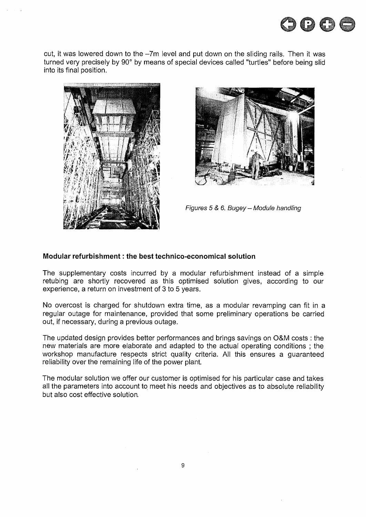

cut, it was lowered down to the -7m level and put down on the sliding rails. Then it was turned very precisely by 90° by means of special devices called "turtles" before being slid into its final position.





Figures 5 & 6. Bugey - Module handling

#### **Modular refurbishment: the best technico-economical solution**

The supplementary costs incurred by a modular refurbishment instead of a simple retubing are shortly recovered as this optimised solution gives, according to our experience, a return on investment of 3 to 5 years.

No overcost is charged for shutdown extra time, as a modular revamping can fit in a regular outage for maintenance, provided that some preliminary operations be carried out, if necessary, during a previous outage.

The updated design provides better performances and brings savings on O&M costs : the new materials are more elaborate and adapted to the actual operating conditions ; the workshop manufacture respects strict quality criteria. All this ensures a guaranteed reliability over the remaining life of the power plant.

The modular solution we offer our customer is optimised for his particular case and takes all the parameters into account to meet his needs and objectives as to absolute reliability but also cost effective solution.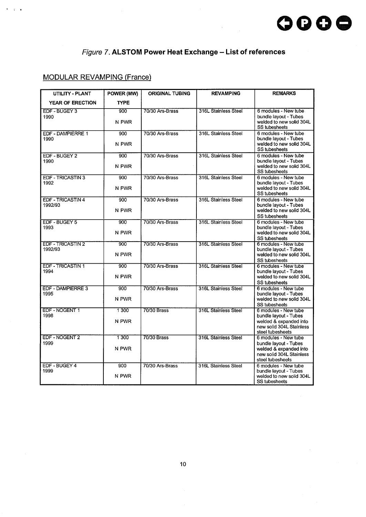# Figure 7. **ALSTOM Power Heat Exchange - List of references**

# MODULAR REVAMPING (France)

 $\mathbf{A}$ 

| <b>UTILITY - PLANT</b>              | POWER (MW)       | <b>ORIGINAL TUBING</b> | <b>REVAMPING</b>     | <b>REMARKS</b>                                                                                                          |
|-------------------------------------|------------------|------------------------|----------------------|-------------------------------------------------------------------------------------------------------------------------|
| YEAR OF ERECTION                    | <b>TYPE</b>      |                        |                      |                                                                                                                         |
| EDF - BUGEY 3<br>1990               | 900<br>N PWR     | 70/30 Ars-Brass        | 316L Stainless Steel | 6 modules - New tube<br>bundle layout - Tubes<br>welded to new solid 304L<br><b>SS tubesheets</b>                       |
| EDF - DAMPIERRE 1<br>1990           | 900<br>N PWR     | 70/30 Ars-Brass        | 316L Stainless Steel | 6 modules - New tube<br>bundle layout - Tubes<br>welded to new solid 304L<br>SS tubesheets                              |
| EDF - BUGEY 2<br>1990               | 900<br>N PWR     | 70/30 Ars-Brass        | 316L Stainless Steel | 6 modules - New tube<br>bundle layout - Tubes<br>welded to new solid 304L<br><b>SS tubesheets</b>                       |
| <b>EDF - TRICASTIN 3</b><br>1992    | 900<br>N PWR     | 70/30 Ars-Brass        | 316L Stainless Steel | 6 modules - New tube<br>bundle layout - Tubes<br>welded to new solid 304L<br>SS tubesheets                              |
| EDF - TRICASTIN 4<br>1992/93        | 900<br>N PWR     | 70/30 Ars-Brass        | 316L Stainless Steel | 6 modules - New tube<br>bundle layout - Tubes<br>welded to new solid 304L<br>SS tubesheets                              |
| EDF - BUGEY 5<br>1993               | $900 -$<br>N PWR | 70/30 Ars-Brass        | 316L Stainless Steel | 6 modules - New tube<br>bundle layout - Tubes<br>welded to new solid 304L<br>SS tubesheets                              |
| <b>EDF - TRICASTIN 2</b><br>1992/93 | 900<br>N PWR     | 70/30 Ars-Brass        | 316L Stainless Steel | 6 modules - New tube<br>bundle layout - Tubes<br>welded to new solid 304L<br><b>SS tubesheets</b>                       |
| <b>EDF - TRICASTIN 1</b><br>1994    | 900<br>N PWR     | 70/30 Ars-Brass        | 316L Stainless Steel | 6 modules - New tube<br>bundle layout - Tubes<br>welded to new solid 304L<br>SS tubesheets                              |
| <b>EDF - DAMPIERRE 3</b><br>1995    | 900<br>N PWR     | 70/30 Ars-Brass        | 316L Stainless Steel | 6 modules - New tube<br>bundle layout - Tubes<br>welded to new solid 304L<br>SS tubesheets                              |
| EDF - NOGENT 1<br>1998              | 1 300<br>N PWR   | <b>70/30 Brass</b>     | 316L Stainless Steel | 6 modules - New tube<br>bundle layout - Tubes<br>welded & expanded into<br>new solid 304L Stainless<br>steel tubesheets |
| EDF - NOGENT 2<br>1999              | 1300<br>N PWR    | <b>70/30 Brass</b>     | 316L Stainless Steel | 6 modules - New tube<br>bundle layout - Tubes<br>welded & expanded into<br>new solid 304L Stainless<br>steel tubesheets |
| EDF - BUGEY 4<br>1999               | 900<br>N PWR     | 70/30 Ars-Brass        | 316L Stainless Steel | 6 modules - New tube<br>bundle layout - Tubes<br>welded to new solid 304L<br><b>SS tubesheets</b>                       |